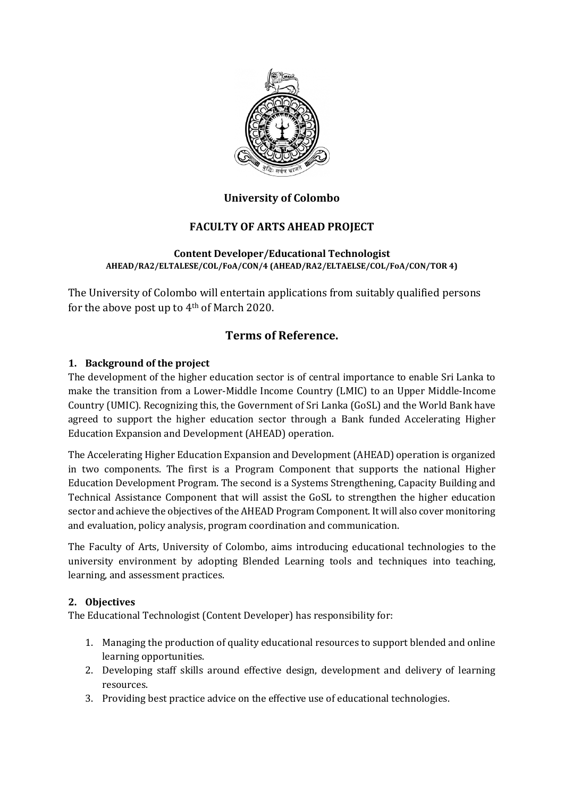

## **University of Colombo**

## **FACULTY OF ARTS AHEAD PROJECT**

#### **Content Developer/Educational Technologist AHEAD/RA2/ELTALESE/COL/FoA/CON/4 (AHEAD/RA2/ELTAELSE/COL/FoA/CON/TOR 4)**

The University of Colombo will entertain applications from suitably qualified persons for the above post up to 4th of March 2020.

# **Terms of Reference.**

#### **1. Background of the project**

The development of the higher education sector is of central importance to enable Sri Lanka to make the transition from a Lower-Middle Income Country (LMIC) to an Upper Middle-Income Country (UMIC). Recognizing this, the Government of Sri Lanka (GoSL) and the World Bank have agreed to support the higher education sector through a Bank funded Accelerating Higher Education Expansion and Development (AHEAD) operation.

The Accelerating Higher Education Expansion and Development (AHEAD) operation is organized in two components. The first is a Program Component that supports the national Higher Education Development Program. The second is a Systems Strengthening, Capacity Building and Technical Assistance Component that will assist the GoSL to strengthen the higher education sector and achieve the objectives of the AHEAD Program Component. It will also cover monitoring and evaluation, policy analysis, program coordination and communication.

The Faculty of Arts, University of Colombo, aims introducing educational technologies to the university environment by adopting Blended Learning tools and techniques into teaching, learning, and assessment practices.

#### **2. Objectives**

The Educational Technologist (Content Developer) has responsibility for:

- 1. Managing the production of quality educational resources to support blended and online learning opportunities.
- 2. Developing staff skills around effective design, development and delivery of learning resources.
- 3. Providing best practice advice on the effective use of educational technologies.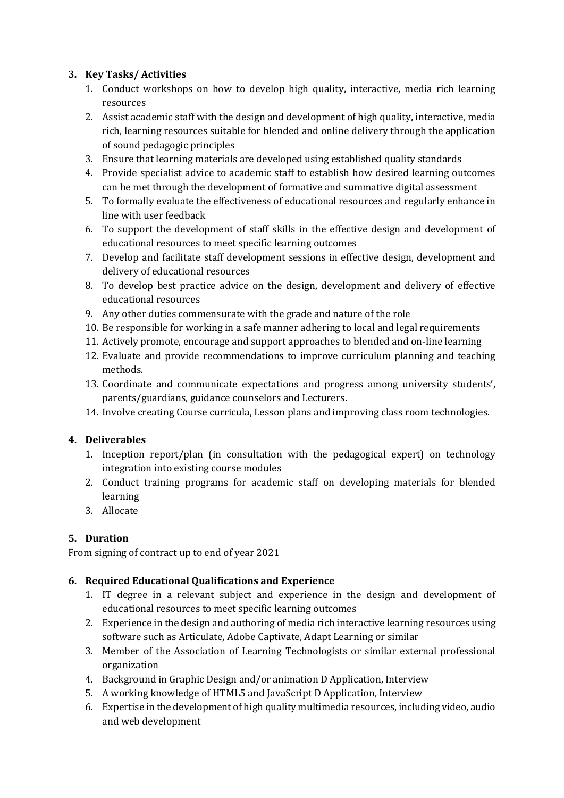## **3. Key Tasks/ Activities**

- 1. Conduct workshops on how to develop high quality, interactive, media rich learning resources
- 2. Assist academic staff with the design and development of high quality, interactive, media rich, learning resources suitable for blended and online delivery through the application of sound pedagogic principles
- 3. Ensure that learning materials are developed using established quality standards
- 4. Provide specialist advice to academic staff to establish how desired learning outcomes can be met through the development of formative and summative digital assessment
- 5. To formally evaluate the effectiveness of educational resources and regularly enhance in line with user feedback
- 6. To support the development of staff skills in the effective design and development of educational resources to meet specific learning outcomes
- 7. Develop and facilitate staff development sessions in effective design, development and delivery of educational resources
- 8. To develop best practice advice on the design, development and delivery of effective educational resources
- 9. Any other duties commensurate with the grade and nature of the role
- 10. Be responsible for working in a safe manner adhering to local and legal requirements
- 11. Actively promote, encourage and support approaches to blended and on-line learning
- 12. Evaluate and provide recommendations to improve curriculum planning and teaching methods.
- 13. Coordinate and communicate expectations and progress among university students', parents/guardians, guidance counselors and Lecturers.
- 14. Involve creating Course curricula, Lesson plans and improving class room technologies.

## **4. Deliverables**

- 1. Inception report/plan (in consultation with the pedagogical expert) on technology integration into existing course modules
- 2. Conduct training programs for academic staff on developing materials for blended learning
- 3. Allocate

# **5. Duration**

From signing of contract up to end of year 2021

## **6. Required Educational Qualifications and Experience**

- 1. IT degree in a relevant subject and experience in the design and development of educational resources to meet specific learning outcomes
- 2. Experience in the design and authoring of media rich interactive learning resources using software such as Articulate, Adobe Captivate, Adapt Learning or similar
- 3. Member of the Association of Learning Technologists or similar external professional organization
- 4. Background in Graphic Design and/or animation D Application, Interview
- 5. A working knowledge of HTML5 and JavaScript D Application, Interview
- 6. Expertise in the development of high quality multimedia resources, including video, audio and web development